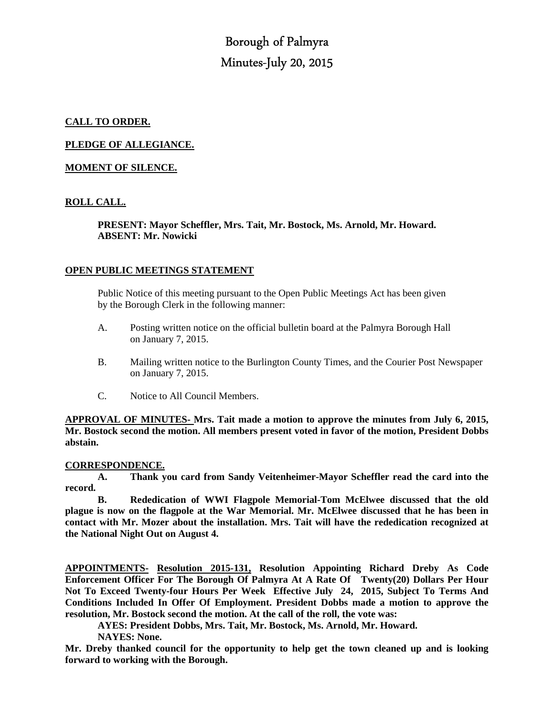Borough of Palmyra Minutes-July 20, 2015

## **CALL TO ORDER.**

**PLEDGE OF ALLEGIANCE.** 

## **MOMENT OF SILENCE.**

# **ROLL CALL.**

 **PRESENT: Mayor Scheffler, Mrs. Tait, Mr. Bostock, Ms. Arnold, Mr. Howard. ABSENT: Mr. Nowicki** 

### **OPEN PUBLIC MEETINGS STATEMENT**

 Public Notice of this meeting pursuant to the Open Public Meetings Act has been given by the Borough Clerk in the following manner:

- A. Posting written notice on the official bulletin board at the Palmyra Borough Hall on January 7, 2015.
- B. Mailing written notice to the Burlington County Times, and the Courier Post Newspaper on January 7, 2015.
- C. Notice to All Council Members.

**APPROVAL OF MINUTES- Mrs. Tait made a motion to approve the minutes from July 6, 2015, Mr. Bostock second the motion. All members present voted in favor of the motion, President Dobbs abstain.** 

#### **CORRESPONDENCE.**

**A. Thank you card from Sandy Veitenheimer-Mayor Scheffler read the card into the record.** 

 **B. Rededication of WWI Flagpole Memorial-Tom McElwee discussed that the old plague is now on the flagpole at the War Memorial. Mr. McElwee discussed that he has been in contact with Mr. Mozer about the installation. Mrs. Tait will have the rededication recognized at the National Night Out on August 4.** 

**APPOINTMENTS- Resolution 2015-131, Resolution Appointing Richard Dreby As Code Enforcement Officer For The Borough Of Palmyra At A Rate Of Twenty(20) Dollars Per Hour Not To Exceed Twenty-four Hours Per Week Effective July 24, 2015, Subject To Terms And Conditions Included In Offer Of Employment. President Dobbs made a motion to approve the resolution, Mr. Bostock second the motion. At the call of the roll, the vote was:** 

 **AYES: President Dobbs, Mrs. Tait, Mr. Bostock, Ms. Arnold, Mr. Howard.** 

 **NAYES: None.** 

**Mr. Dreby thanked council for the opportunity to help get the town cleaned up and is looking forward to working with the Borough.**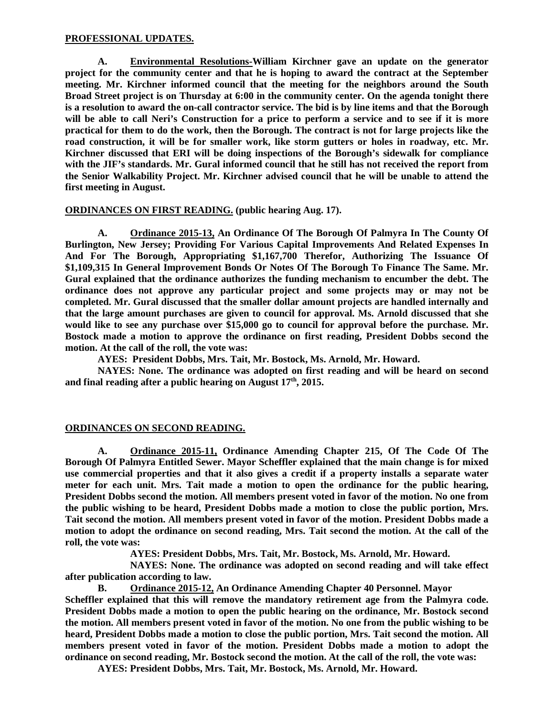### **PROFESSIONAL UPDATES.**

 **A. Environmental Resolutions-William Kirchner gave an update on the generator project for the community center and that he is hoping to award the contract at the September meeting. Mr. Kirchner informed council that the meeting for the neighbors around the South Broad Street project is on Thursday at 6:00 in the community center. On the agenda tonight there is a resolution to award the on-call contractor service. The bid is by line items and that the Borough will be able to call Neri's Construction for a price to perform a service and to see if it is more practical for them to do the work, then the Borough. The contract is not for large projects like the road construction, it will be for smaller work, like storm gutters or holes in roadway, etc. Mr. Kirchner discussed that ERI will be doing inspections of the Borough's sidewalk for compliance with the JIF's standards. Mr. Gural informed council that he still has not received the report from the Senior Walkability Project. Mr. Kirchner advised council that he will be unable to attend the first meeting in August.** 

### **ORDINANCES ON FIRST READING. (public hearing Aug. 17).**

 **A. Ordinance 2015-13, An Ordinance Of The Borough Of Palmyra In The County Of Burlington, New Jersey; Providing For Various Capital Improvements And Related Expenses In And For The Borough, Appropriating \$1,167,700 Therefor, Authorizing The Issuance Of \$1,109,315 In General Improvement Bonds Or Notes Of The Borough To Finance The Same. Mr. Gural explained that the ordinance authorizes the funding mechanism to encumber the debt. The ordinance does not approve any particular project and some projects may or may not be completed. Mr. Gural discussed that the smaller dollar amount projects are handled internally and that the large amount purchases are given to council for approval. Ms. Arnold discussed that she would like to see any purchase over \$15,000 go to council for approval before the purchase. Mr. Bostock made a motion to approve the ordinance on first reading, President Dobbs second the motion. At the call of the roll, the vote was:** 

 **AYES: President Dobbs, Mrs. Tait, Mr. Bostock, Ms. Arnold, Mr. Howard.** 

 **NAYES: None. The ordinance was adopted on first reading and will be heard on second and final reading after a public hearing on August 17th, 2015.** 

## **ORDINANCES ON SECOND READING.**

**A. Ordinance 2015-11, Ordinance Amending Chapter 215, Of The Code Of The Borough Of Palmyra Entitled Sewer. Mayor Scheffler explained that the main change is for mixed use commercial properties and that it also gives a credit if a property installs a separate water meter for each unit. Mrs. Tait made a motion to open the ordinance for the public hearing, President Dobbs second the motion. All members present voted in favor of the motion. No one from the public wishing to be heard, President Dobbs made a motion to close the public portion, Mrs. Tait second the motion. All members present voted in favor of the motion. President Dobbs made a motion to adopt the ordinance on second reading, Mrs. Tait second the motion. At the call of the roll, the vote was:** 

 **AYES: President Dobbs, Mrs. Tait, Mr. Bostock, Ms. Arnold, Mr. Howard.** 

 **NAYES: None. The ordinance was adopted on second reading and will take effect after publication according to law.** 

**B. Ordinance 2015-12, An Ordinance Amending Chapter 40 Personnel. Mayor Scheffler explained that this will remove the mandatory retirement age from the Palmyra code. President Dobbs made a motion to open the public hearing on the ordinance, Mr. Bostock second the motion. All members present voted in favor of the motion. No one from the public wishing to be heard, President Dobbs made a motion to close the public portion, Mrs. Tait second the motion. All members present voted in favor of the motion. President Dobbs made a motion to adopt the ordinance on second reading, Mr. Bostock second the motion. At the call of the roll, the vote was:** 

**AYES: President Dobbs, Mrs. Tait, Mr. Bostock, Ms. Arnold, Mr. Howard.**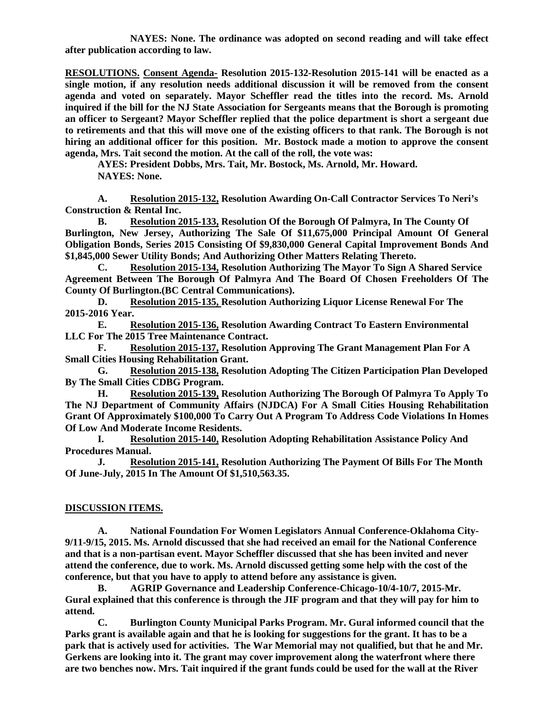**NAYES: None. The ordinance was adopted on second reading and will take effect after publication according to law.** 

**RESOLUTIONS. Consent Agenda- Resolution 2015-132-Resolution 2015-141 will be enacted as a single motion, if any resolution needs additional discussion it will be removed from the consent agenda and voted on separately. Mayor Scheffler read the titles into the record. Ms. Arnold inquired if the bill for the NJ State Association for Sergeants means that the Borough is promoting an officer to Sergeant? Mayor Scheffler replied that the police department is short a sergeant due to retirements and that this will move one of the existing officers to that rank. The Borough is not hiring an additional officer for this position. Mr. Bostock made a motion to approve the consent agenda, Mrs. Tait second the motion. At the call of the roll, the vote was:** 

 **AYES: President Dobbs, Mrs. Tait, Mr. Bostock, Ms. Arnold, Mr. Howard. NAYES: None.** 

**A. Resolution 2015-132, Resolution Awarding On-Call Contractor Services To Neri's Construction & Rental Inc.** 

**B. Resolution 2015-133, Resolution Of the Borough Of Palmyra, In The County Of Burlington, New Jersey, Authorizing The Sale Of \$11,675,000 Principal Amount Of General Obligation Bonds, Series 2015 Consisting Of \$9,830,000 General Capital Improvement Bonds And \$1,845,000 Sewer Utility Bonds; And Authorizing Other Matters Relating Thereto.** 

**C. Resolution 2015-134, Resolution Authorizing The Mayor To Sign A Shared Service Agreement Between The Borough Of Palmyra And The Board Of Chosen Freeholders Of The County Of Burlington.(BC Central Communications).** 

**D. Resolution 2015-135, Resolution Authorizing Liquor License Renewal For The 2015-2016 Year.** 

**E. Resolution 2015-136, Resolution Awarding Contract To Eastern Environmental LLC For The 2015 Tree Maintenance Contract.** 

**F. Resolution 2015-137, Resolution Approving The Grant Management Plan For A Small Cities Housing Rehabilitation Grant.** 

**G. Resolution 2015-138, Resolution Adopting The Citizen Participation Plan Developed By The Small Cities CDBG Program.** 

**H. Resolution 2015-139, Resolution Authorizing The Borough Of Palmyra To Apply To The NJ Department of Community Affairs (NJDCA) For A Small Cities Housing Rehabilitation Grant Of Approximately \$100,000 To Carry Out A Program To Address Code Violations In Homes Of Low And Moderate Income Residents.** 

**I. Resolution 2015-140, Resolution Adopting Rehabilitation Assistance Policy And Procedures Manual.** 

**J. Resolution 2015-141, Resolution Authorizing The Payment Of Bills For The Month Of June-July, 2015 In The Amount Of \$1,510,563.35.** 

## **DISCUSSION ITEMS.**

**A. National Foundation For Women Legislators Annual Conference-Oklahoma City-9/11-9/15, 2015. Ms. Arnold discussed that she had received an email for the National Conference and that is a non-partisan event. Mayor Scheffler discussed that she has been invited and never attend the conference, due to work. Ms. Arnold discussed getting some help with the cost of the conference, but that you have to apply to attend before any assistance is given.** 

 **B. AGRIP Governance and Leadership Conference-Chicago-10/4-10/7, 2015-Mr. Gural explained that this conference is through the JIF program and that they will pay for him to attend.** 

**C. Burlington County Municipal Parks Program. Mr. Gural informed council that the Parks grant is available again and that he is looking for suggestions for the grant. It has to be a park that is actively used for activities. The War Memorial may not qualified, but that he and Mr. Gerkens are looking into it. The grant may cover improvement along the waterfront where there are two benches now. Mrs. Tait inquired if the grant funds could be used for the wall at the River**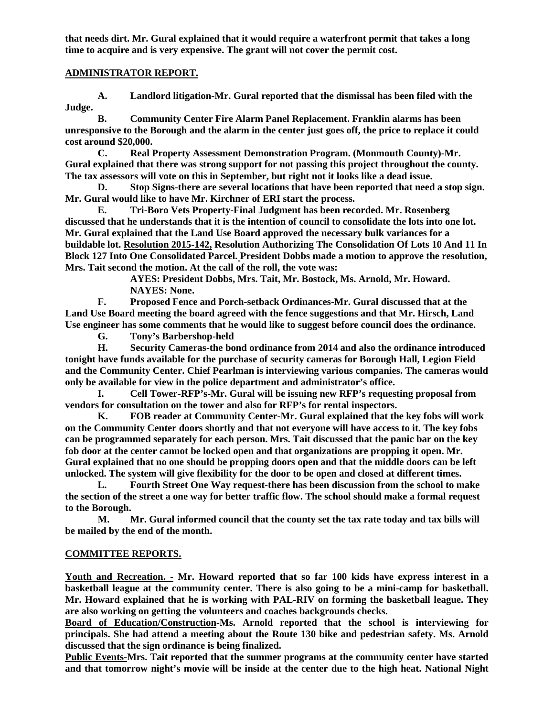**that needs dirt. Mr. Gural explained that it would require a waterfront permit that takes a long time to acquire and is very expensive. The grant will not cover the permit cost.** 

### **ADMINISTRATOR REPORT.**

 **A. Landlord litigation-Mr. Gural reported that the dismissal has been filed with the Judge.** 

 **B. Community Center Fire Alarm Panel Replacement. Franklin alarms has been unresponsive to the Borough and the alarm in the center just goes off, the price to replace it could cost around \$20,000.** 

 **C. Real Property Assessment Demonstration Program. (Monmouth County)-Mr. Gural explained that there was strong support for not passing this project throughout the county. The tax assessors will vote on this in September, but right not it looks like a dead issue.** 

 **D. Stop Signs-there are several locations that have been reported that need a stop sign. Mr. Gural would like to have Mr. Kirchner of ERI start the process.** 

 **E. Tri-Boro Vets Property-Final Judgment has been recorded. Mr. Rosenberg discussed that he understands that it is the intention of council to consolidate the lots into one lot. Mr. Gural explained that the Land Use Board approved the necessary bulk variances for a buildable lot. Resolution 2015-142, Resolution Authorizing The Consolidation Of Lots 10 And 11 In Block 127 Into One Consolidated Parcel. President Dobbs made a motion to approve the resolution, Mrs. Tait second the motion. At the call of the roll, the vote was:** 

 **AYES: President Dobbs, Mrs. Tait, Mr. Bostock, Ms. Arnold, Mr. Howard. NAYES: None.** 

 **F. Proposed Fence and Porch-setback Ordinances-Mr. Gural discussed that at the Land Use Board meeting the board agreed with the fence suggestions and that Mr. Hirsch, Land Use engineer has some comments that he would like to suggest before council does the ordinance.** 

 **G. Tony's Barbershop-held** 

 **H. Security Cameras-the bond ordinance from 2014 and also the ordinance introduced tonight have funds available for the purchase of security cameras for Borough Hall, Legion Field and the Community Center. Chief Pearlman is interviewing various companies. The cameras would only be available for view in the police department and administrator's office.** 

 **I. Cell Tower-RFP's-Mr. Gural will be issuing new RFP's requesting proposal from vendors for consultation on the tower and also for RFP's for rental inspectors.** 

 **K. FOB reader at Community Center-Mr. Gural explained that the key fobs will work on the Community Center doors shortly and that not everyone will have access to it. The key fobs can be programmed separately for each person. Mrs. Tait discussed that the panic bar on the key fob door at the center cannot be locked open and that organizations are propping it open. Mr. Gural explained that no one should be propping doors open and that the middle doors can be left unlocked. The system will give flexibility for the door to be open and closed at different times.** 

 **L. Fourth Street One Way request-there has been discussion from the school to make the section of the street a one way for better traffic flow. The school should make a formal request to the Borough.** 

 **M. Mr. Gural informed council that the county set the tax rate today and tax bills will be mailed by the end of the month.** 

## **COMMITTEE REPORTS.**

**Youth and Recreation. - Mr. Howard reported that so far 100 kids have express interest in a basketball league at the community center. There is also going to be a mini-camp for basketball. Mr. Howard explained that he is working with PAL-RIV on forming the basketball league. They are also working on getting the volunteers and coaches backgrounds checks.** 

**Board of Education/Construction-Ms. Arnold reported that the school is interviewing for principals. She had attend a meeting about the Route 130 bike and pedestrian safety. Ms. Arnold discussed that the sign ordinance is being finalized.** 

**Public Events-Mrs. Tait reported that the summer programs at the community center have started and that tomorrow night's movie will be inside at the center due to the high heat. National Night**